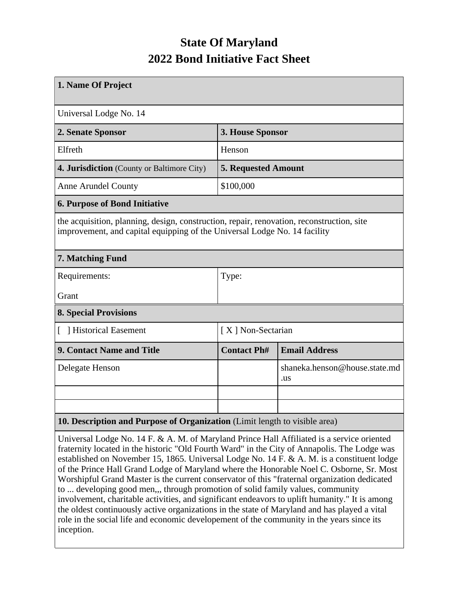## **State Of Maryland 2022 Bond Initiative Fact Sheet**

| 1. Name Of Project                                                                                                                                                     |                            |                                      |  |
|------------------------------------------------------------------------------------------------------------------------------------------------------------------------|----------------------------|--------------------------------------|--|
| Universal Lodge No. 14                                                                                                                                                 |                            |                                      |  |
| 2. Senate Sponsor                                                                                                                                                      | 3. House Sponsor           |                                      |  |
| Elfreth                                                                                                                                                                | Henson                     |                                      |  |
| 4. Jurisdiction (County or Baltimore City)                                                                                                                             | <b>5. Requested Amount</b> |                                      |  |
| <b>Anne Arundel County</b>                                                                                                                                             | \$100,000                  |                                      |  |
| <b>6. Purpose of Bond Initiative</b>                                                                                                                                   |                            |                                      |  |
| the acquisition, planning, design, construction, repair, renovation, reconstruction, site<br>improvement, and capital equipping of the Universal Lodge No. 14 facility |                            |                                      |  |
| 7. Matching Fund                                                                                                                                                       |                            |                                      |  |
| Requirements:                                                                                                                                                          | Type:                      |                                      |  |
| Grant                                                                                                                                                                  |                            |                                      |  |
| <b>8. Special Provisions</b>                                                                                                                                           |                            |                                      |  |
| [ ] Historical Easement                                                                                                                                                | [X] Non-Sectarian          |                                      |  |
| 9. Contact Name and Title                                                                                                                                              | <b>Contact Ph#</b>         | <b>Email Address</b>                 |  |
| Delegate Henson                                                                                                                                                        |                            | shaneka.henson@house.state.md<br>.us |  |
|                                                                                                                                                                        |                            |                                      |  |
|                                                                                                                                                                        |                            |                                      |  |
| 10. Description and Purpose of Organization (Limit length to visible area)                                                                                             |                            |                                      |  |

Universal Lodge No. 14 F. & A. M. of Maryland Prince Hall Affiliated is a service oriented fraternity located in the historic "Old Fourth Ward" in the City of Annapolis. The Lodge was established on November 15, 1865. Universal Lodge No. 14 F. & A. M. is a constituent lodge of the Prince Hall Grand Lodge of Maryland where the Honorable Noel C. Osborne, Sr. Most Worshipful Grand Master is the current conservator of this "fraternal organization dedicated to ... developing good men,,, through promotion of solid family values, community involvement, charitable activities, and significant endeavors to uplift humanity." It is among the oldest continuously active organizations in the state of Maryland and has played a vital role in the social life and economic developement of the community in the years since its inception.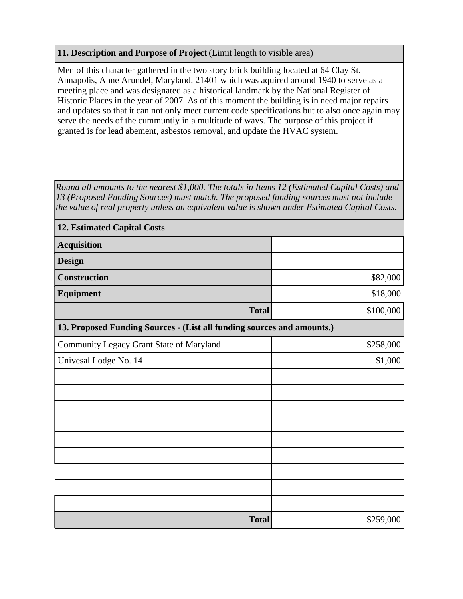## **11. Description and Purpose of Project** (Limit length to visible area)

Men of this character gathered in the two story brick building located at 64 Clay St. Annapolis, Anne Arundel, Maryland. 21401 which was aquired around 1940 to serve as a meeting place and was designated as a historical landmark by the National Register of Historic Places in the year of 2007. As of this moment the building is in need major repairs and updates so that it can not only meet current code specifications but to also once again may serve the needs of the cummuntiy in a multitude of ways. The purpose of this project if granted is for lead abement, asbestos removal, and update the HVAC system.

*Round all amounts to the nearest \$1,000. The totals in Items 12 (Estimated Capital Costs) and 13 (Proposed Funding Sources) must match. The proposed funding sources must not include the value of real property unless an equivalent value is shown under Estimated Capital Costs.*

| <b>12. Estimated Capital Costs</b>                                     |           |  |  |  |
|------------------------------------------------------------------------|-----------|--|--|--|
| <b>Acquisition</b>                                                     |           |  |  |  |
| <b>Design</b>                                                          |           |  |  |  |
| <b>Construction</b>                                                    | \$82,000  |  |  |  |
| <b>Equipment</b>                                                       | \$18,000  |  |  |  |
| <b>Total</b>                                                           | \$100,000 |  |  |  |
| 13. Proposed Funding Sources - (List all funding sources and amounts.) |           |  |  |  |
| Community Legacy Grant State of Maryland                               | \$258,000 |  |  |  |
| Univesal Lodge No. 14                                                  | \$1,000   |  |  |  |
|                                                                        |           |  |  |  |
|                                                                        |           |  |  |  |
|                                                                        |           |  |  |  |
|                                                                        |           |  |  |  |
|                                                                        |           |  |  |  |
|                                                                        |           |  |  |  |
|                                                                        |           |  |  |  |
|                                                                        |           |  |  |  |
|                                                                        |           |  |  |  |
| <b>Total</b>                                                           | \$259,000 |  |  |  |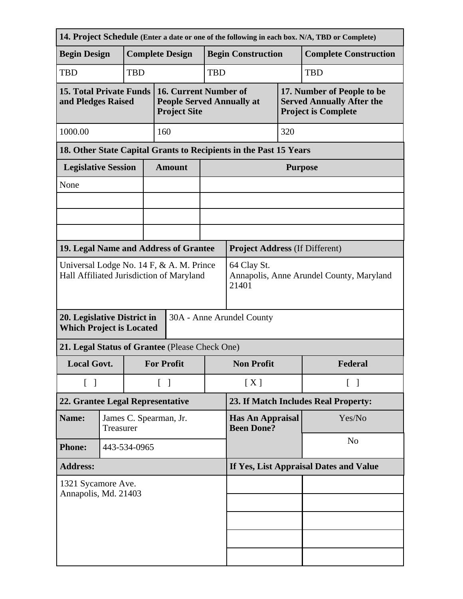|                                                                                      |                    |                                     |                                        |                                                                                  |                                              |                           |                                                                                              | 14. Project Schedule (Enter a date or one of the following in each box. N/A, TBD or Complete) |  |
|--------------------------------------------------------------------------------------|--------------------|-------------------------------------|----------------------------------------|----------------------------------------------------------------------------------|----------------------------------------------|---------------------------|----------------------------------------------------------------------------------------------|-----------------------------------------------------------------------------------------------|--|
| <b>Begin Design</b>                                                                  |                    | <b>Complete Design</b>              |                                        |                                                                                  | <b>Begin Construction</b>                    |                           |                                                                                              | <b>Complete Construction</b>                                                                  |  |
| TBD                                                                                  |                    | <b>TBD</b>                          |                                        |                                                                                  | <b>TBD</b>                                   | <b>TBD</b>                |                                                                                              |                                                                                               |  |
| <b>15. Total Private Funds</b><br>and Pledges Raised                                 |                    |                                     |                                        | 16. Current Number of<br><b>People Served Annually at</b><br><b>Project Site</b> |                                              |                           | 17. Number of People to be<br><b>Served Annually After the</b><br><b>Project is Complete</b> |                                                                                               |  |
| 1000.00                                                                              |                    |                                     |                                        | 160                                                                              |                                              |                           | 320                                                                                          |                                                                                               |  |
| 18. Other State Capital Grants to Recipients in the Past 15 Years                    |                    |                                     |                                        |                                                                                  |                                              |                           |                                                                                              |                                                                                               |  |
| <b>Legislative Session</b>                                                           |                    |                                     | <b>Amount</b>                          |                                                                                  | <b>Purpose</b>                               |                           |                                                                                              |                                                                                               |  |
| None                                                                                 |                    |                                     |                                        |                                                                                  |                                              |                           |                                                                                              |                                                                                               |  |
|                                                                                      |                    |                                     |                                        |                                                                                  |                                              |                           |                                                                                              |                                                                                               |  |
|                                                                                      |                    |                                     |                                        |                                                                                  |                                              |                           |                                                                                              |                                                                                               |  |
|                                                                                      |                    |                                     |                                        |                                                                                  |                                              |                           |                                                                                              |                                                                                               |  |
| 19. Legal Name and Address of Grantee                                                |                    |                                     | <b>Project Address (If Different)</b>  |                                                                                  |                                              |                           |                                                                                              |                                                                                               |  |
| Universal Lodge No. 14 F, & A. M. Prince<br>Hall Affiliated Jurisdiction of Maryland |                    |                                     |                                        | 64 Clay St.<br>Annapolis, Anne Arundel County, Maryland<br>21401                 |                                              |                           |                                                                                              |                                                                                               |  |
| 20. Legislative District in<br><b>Which Project is Located</b>                       |                    |                                     |                                        | 30A - Anne Arundel County                                                        |                                              |                           |                                                                                              |                                                                                               |  |
| 21. Legal Status of Grantee (Please Check One)                                       |                    |                                     |                                        |                                                                                  |                                              |                           |                                                                                              |                                                                                               |  |
|                                                                                      | <b>Local Govt.</b> |                                     |                                        | <b>For Profit</b>                                                                |                                              | <b>Non Profit</b>         |                                                                                              | Federal                                                                                       |  |
| $\begin{bmatrix} 1 \end{bmatrix}$                                                    |                    |                                     |                                        | $\lceil \; \rceil$                                                               |                                              | [X]<br>$\lceil \; \rceil$ |                                                                                              |                                                                                               |  |
| 22. Grantee Legal Representative                                                     |                    |                                     | 23. If Match Includes Real Property:   |                                                                                  |                                              |                           |                                                                                              |                                                                                               |  |
| Name:                                                                                |                    | James C. Spearman, Jr.<br>Treasurer |                                        |                                                                                  | <b>Has An Appraisal</b><br><b>Been Done?</b> |                           | Yes/No                                                                                       |                                                                                               |  |
| <b>Phone:</b>                                                                        |                    | 443-534-0965                        |                                        |                                                                                  |                                              |                           | N <sub>o</sub>                                                                               |                                                                                               |  |
| <b>Address:</b>                                                                      |                    |                                     | If Yes, List Appraisal Dates and Value |                                                                                  |                                              |                           |                                                                                              |                                                                                               |  |
| 1321 Sycamore Ave.<br>Annapolis, Md. 21403                                           |                    |                                     |                                        |                                                                                  |                                              |                           |                                                                                              |                                                                                               |  |
|                                                                                      |                    |                                     |                                        |                                                                                  |                                              |                           |                                                                                              |                                                                                               |  |
|                                                                                      |                    |                                     |                                        |                                                                                  |                                              |                           |                                                                                              |                                                                                               |  |
|                                                                                      |                    |                                     |                                        |                                                                                  |                                              |                           |                                                                                              |                                                                                               |  |
|                                                                                      |                    |                                     |                                        |                                                                                  |                                              |                           |                                                                                              |                                                                                               |  |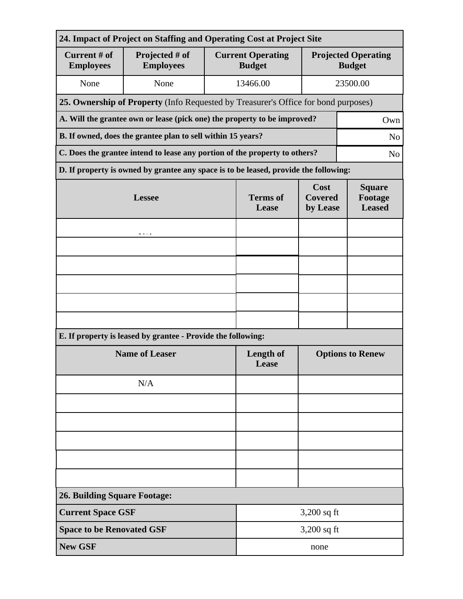| 24. Impact of Project on Staffing and Operating Cost at Project Site                         |                                                                                      |                          |                                           |                                             |  |  |  |
|----------------------------------------------------------------------------------------------|--------------------------------------------------------------------------------------|--------------------------|-------------------------------------------|---------------------------------------------|--|--|--|
| Current # of<br><b>Employees</b>                                                             | Projected # of<br><b>Employees</b>                                                   |                          | <b>Current Operating</b><br><b>Budget</b> | <b>Projected Operating</b><br><b>Budget</b> |  |  |  |
| None                                                                                         | None                                                                                 |                          | 13466.00                                  | 23500.00                                    |  |  |  |
| 25. Ownership of Property (Info Requested by Treasurer's Office for bond purposes)           |                                                                                      |                          |                                           |                                             |  |  |  |
| A. Will the grantee own or lease (pick one) the property to be improved?<br>Own              |                                                                                      |                          |                                           |                                             |  |  |  |
| B. If owned, does the grantee plan to sell within 15 years?<br>N <sub>o</sub>                |                                                                                      |                          |                                           |                                             |  |  |  |
| C. Does the grantee intend to lease any portion of the property to others?<br>N <sub>o</sub> |                                                                                      |                          |                                           |                                             |  |  |  |
|                                                                                              | D. If property is owned by grantee any space is to be leased, provide the following: |                          |                                           |                                             |  |  |  |
|                                                                                              | <b>Lessee</b>                                                                        | <b>Terms</b> of<br>Lease | Cost<br><b>Covered</b><br>by Lease        | <b>Square</b><br>Footage<br><b>Leased</b>   |  |  |  |
|                                                                                              |                                                                                      |                          |                                           |                                             |  |  |  |
|                                                                                              |                                                                                      |                          |                                           |                                             |  |  |  |
|                                                                                              |                                                                                      |                          |                                           |                                             |  |  |  |
|                                                                                              |                                                                                      |                          |                                           |                                             |  |  |  |
|                                                                                              |                                                                                      |                          |                                           |                                             |  |  |  |
|                                                                                              |                                                                                      |                          |                                           |                                             |  |  |  |
|                                                                                              | E. If property is leased by grantee - Provide the following:                         |                          |                                           |                                             |  |  |  |
|                                                                                              | <b>Name of Leaser</b>                                                                | Length of<br>Lease       | <b>Options to Renew</b>                   |                                             |  |  |  |
|                                                                                              | N/A                                                                                  |                          |                                           |                                             |  |  |  |
|                                                                                              |                                                                                      |                          |                                           |                                             |  |  |  |
|                                                                                              |                                                                                      |                          |                                           |                                             |  |  |  |
|                                                                                              |                                                                                      |                          |                                           |                                             |  |  |  |
|                                                                                              |                                                                                      |                          |                                           |                                             |  |  |  |
|                                                                                              |                                                                                      |                          |                                           |                                             |  |  |  |
| <b>26. Building Square Footage:</b>                                                          |                                                                                      |                          |                                           |                                             |  |  |  |
| 3,200 sq ft<br><b>Current Space GSF</b>                                                      |                                                                                      |                          |                                           |                                             |  |  |  |
| <b>Space to be Renovated GSF</b>                                                             | 3,200 sq ft                                                                          |                          |                                           |                                             |  |  |  |
| <b>New GSF</b>                                                                               |                                                                                      |                          | none                                      |                                             |  |  |  |